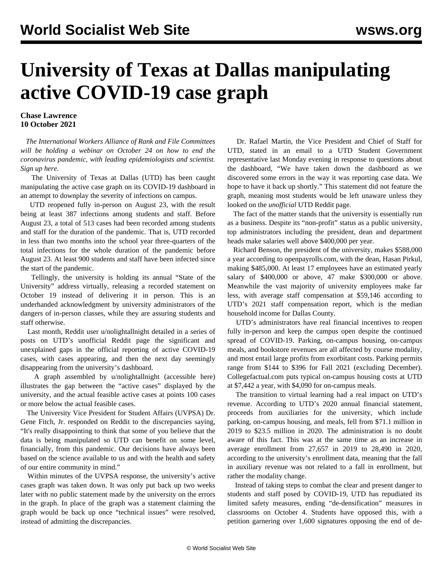## **University of Texas at Dallas manipulating active COVID-19 case graph**

## **Chase Lawrence 10 October 2021**

 *The International Workers Alliance of Rank and File Committees will be holding a webinar on October 24 on how to end the coronavirus pandemic, with leading epidemiologists and scientist. Sign up [here.](/en/special/pages/how-to-end-the-pandemic.html)*

 The University of Texas at Dallas (UTD) has been caught manipulating the active case graph on its COVID-19 dashboard in an attempt to downplay the severity of infections on campus.

 UTD reopened fully in-person on August 23, with the result being at least 387 infections among students and staff. Before August 23, a total of 513 cases had been recorded among students and staff for the duration of the pandemic. That is, UTD recorded in less than two months into the school year three-quarters of the total infections for the whole duration of the pandemic before August 23. At least 900 students and staff have been infected since the start of the pandemic.

 Tellingly, the university is holding its annual "State of the University" address virtually, releasing a recorded statement on October 19 instead of delivering it in person. This is an underhanded acknowledgment by university administrators of the dangers of in-person classes, while they are assuring students and staff otherwise.

 Last month, Reddit user [u/nolightallnight](https://www.reddit.com/user/nolightallnight/) detailed in a series of posts on UTD's unofficial Reddit page the significant and unexplained gaps in the official reporting of active COVID-19 cases, with cases appearing, and then the next day seemingly disappearing from the university's dashboard.

 A graph assembled by [u/nolightallnight](https://www.reddit.com/user/nolightallnight/) (accessible [here](https://www.reddit.com/r/utdallas/comments/q01xzc/utd_still_has_not_released_covid19_data_recap/)) illustrates the gap between the "active cases" displayed by the university, and the actual feasible active cases at points 100 cases or more below the actual feasible cases.

 The University Vice President for Student Affairs (UVPSA) Dr. Gene Fitch, Jr. responded on Reddit to the discrepancies saying, "It's really disappointing to think that some of you believe that the data is being manipulated so UTD can benefit on some level, financially, from this pandemic. Our decisions have always been based on the science available to us and with the health and safety of our entire community in mind."

 Within minutes of the UVPSA response, the university's active cases graph was taken down. It was only put back up two weeks later with no public statement made by the university on the errors in the graph. In place of the graph was a statement claiming the graph would be back up once "technical issues" were resolved, instead of admitting the discrepancies.

 Dr. Rafael Martín, the Vice President and Chief of Staff for UTD, stated in an email to a UTD Student Government representative last Monday evening in response to questions about the dashboard, "We have taken down the dashboard as we discovered some errors in the way it was reporting case data. We hope to have it back up shortly." This statement did not feature the graph, meaning most students would be left unaware unless they looked on the *unofficial* UTD Reddit page.

 The fact of the matter stands that the university is essentially run as a business. Despite its "non-profit" status as a public university, top administrators including the president, dean and department heads make salaries well above \$400,000 per year.

 Richard Benson, the president of the university, makes \$588,000 a year according to openpayrolls.com, with the dean, Hasan Pirkul, making \$485,000. At least 17 employees have an estimated yearly salary of \$400,000 or above, 47 make \$300,000 or above. Meanwhile the vast majority of university employees make far less, with average staff compensation at \$59,146 according to UTD's 2021 staff compensation report, which is the median household income for Dallas County.

 UTD's administrators have real financial incentives to reopen fully in-person and keep the campus open despite the continued spread of COVID-19. Parking, on-campus housing, on-campus meals, and bookstore revenues are all affected by course modality, and most entail large profits from exorbitant costs. Parking permits range from \$144 to \$396 for Fall 2021 (excluding December). Collegefactual.com puts typical on-campus housing costs at UTD at \$7,442 a year, with \$4,090 for on-campus meals.

 The transition to virtual learning had a real impact on UTD's revenue. According to UTD's 2020 annual financial statement, proceeds from auxiliaries for the university, which include parking, on-campus housing, and meals, fell from \$71.1 million in 2019 to \$23.5 million in 2020. The administration is no doubt aware of this fact. This was at the same time as an increase in average enrollment from 27,657 in 2019 to 28,490 in 2020, according to the university's enrollment data, meaning that the fall in auxiliary revenue was not related to a fall in enrollment, but rather the modality change.

 Instead of taking steps to combat the clear and present danger to students and staff posed by COVID-19, UTD has repudiated its limited safety measures, ending "de-densification" measures in classrooms on October 4. Students have opposed this, with a [petition](https://www.change.org/p/ut-dallas-student-government-de-densifying-at-university-of-texas-at-dallas) garnering over 1,600 signatures opposing the end of de